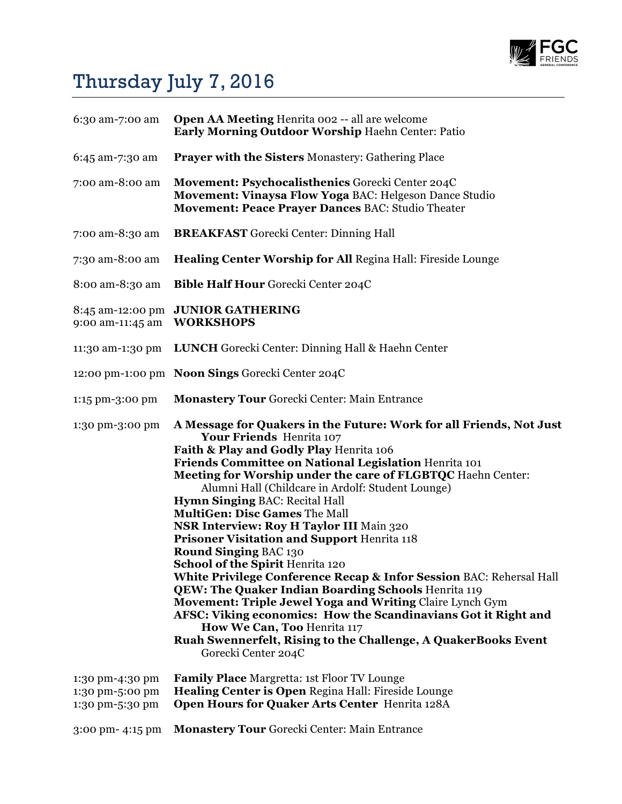

## Thursday July 7, 2016

| 6:30 am-7:00 am                                       | <b>Open AA Meeting Henrita 002 -- all are welcome</b><br>Early Morning Outdoor Worship Haehn Center: Patio                                                                                                                                                                                                                                                                                                                                                                                                                                                                                                                                                                                                                                                                                                                                                                                                                                                                |
|-------------------------------------------------------|---------------------------------------------------------------------------------------------------------------------------------------------------------------------------------------------------------------------------------------------------------------------------------------------------------------------------------------------------------------------------------------------------------------------------------------------------------------------------------------------------------------------------------------------------------------------------------------------------------------------------------------------------------------------------------------------------------------------------------------------------------------------------------------------------------------------------------------------------------------------------------------------------------------------------------------------------------------------------|
| 6:45 am-7:30 am                                       | <b>Prayer with the Sisters Monastery: Gathering Place</b>                                                                                                                                                                                                                                                                                                                                                                                                                                                                                                                                                                                                                                                                                                                                                                                                                                                                                                                 |
| 7:00 am-8:00 am                                       | Movement: Psychocalisthenics Gorecki Center 204C<br>Movement: Vinaysa Flow Yoga BAC: Helgeson Dance Studio<br>Movement: Peace Prayer Dances BAC: Studio Theater                                                                                                                                                                                                                                                                                                                                                                                                                                                                                                                                                                                                                                                                                                                                                                                                           |
| 7:00 am-8:30 am                                       | <b>BREAKFAST</b> Gorecki Center: Dinning Hall                                                                                                                                                                                                                                                                                                                                                                                                                                                                                                                                                                                                                                                                                                                                                                                                                                                                                                                             |
| 7:30 am-8:00 am                                       | <b>Healing Center Worship for All Regina Hall: Fireside Lounge</b>                                                                                                                                                                                                                                                                                                                                                                                                                                                                                                                                                                                                                                                                                                                                                                                                                                                                                                        |
| 8:00 am-8:30 am                                       | <b>Bible Half Hour Gorecki Center 204C</b>                                                                                                                                                                                                                                                                                                                                                                                                                                                                                                                                                                                                                                                                                                                                                                                                                                                                                                                                |
| 8:45 am-12:00 pm<br>9:00 am-11:45 am                  | <b>JUNIOR GATHERING</b><br><b>WORKSHOPS</b>                                                                                                                                                                                                                                                                                                                                                                                                                                                                                                                                                                                                                                                                                                                                                                                                                                                                                                                               |
| 11:30 am-1:30 pm                                      | <b>LUNCH</b> Gorecki Center: Dinning Hall & Haehn Center                                                                                                                                                                                                                                                                                                                                                                                                                                                                                                                                                                                                                                                                                                                                                                                                                                                                                                                  |
|                                                       | 12:00 pm-1:00 pm Noon Sings Gorecki Center 204C                                                                                                                                                                                                                                                                                                                                                                                                                                                                                                                                                                                                                                                                                                                                                                                                                                                                                                                           |
| 1:15 pm-3:00 pm                                       | <b>Monastery Tour Gorecki Center: Main Entrance</b>                                                                                                                                                                                                                                                                                                                                                                                                                                                                                                                                                                                                                                                                                                                                                                                                                                                                                                                       |
| 1:30 pm-3:00 pm                                       | A Message for Quakers in the Future: Work for all Friends, Not Just<br>Your Friends Henrita 107<br>Faith & Play and Godly Play Henrita 106<br>Friends Committee on National Legislation Henrita 101<br>Meeting for Worship under the care of FLGBTQC Haehn Center:<br>Alumni Hall (Childcare in Ardolf: Student Lounge)<br><b>Hymn Singing BAC: Recital Hall</b><br><b>MultiGen: Disc Games The Mall</b><br><b>NSR Interview: Roy H Taylor III Main 320</b><br>Prisoner Visitation and Support Henrita 118<br><b>Round Singing BAC 130</b><br>School of the Spirit Henrita 120<br>White Privilege Conference Recap & Infor Session BAC: Rehersal Hall<br><b>QEW: The Quaker Indian Boarding Schools Henrita 119</b><br>Movement: Triple Jewel Yoga and Writing Claire Lynch Gym<br>AFSC: Viking economics: How the Scandinavians Got it Right and<br>How We Can, Too Henrita 117<br>Ruah Swennerfelt, Rising to the Challenge, A QuakerBooks Event<br>Gorecki Center 204C |
| 1:30 pm-4:30 pm<br>1:30 pm-5:00 pm<br>1:30 pm-5:30 pm | Family Place Margretta: 1st Floor TV Lounge<br>Healing Center is Open Regina Hall: Fireside Lounge<br>Open Hours for Quaker Arts Center Henrita 128A                                                                                                                                                                                                                                                                                                                                                                                                                                                                                                                                                                                                                                                                                                                                                                                                                      |
| 3:00 pm- 4:15 pm                                      | <b>Monastery Tour Gorecki Center: Main Entrance</b>                                                                                                                                                                                                                                                                                                                                                                                                                                                                                                                                                                                                                                                                                                                                                                                                                                                                                                                       |